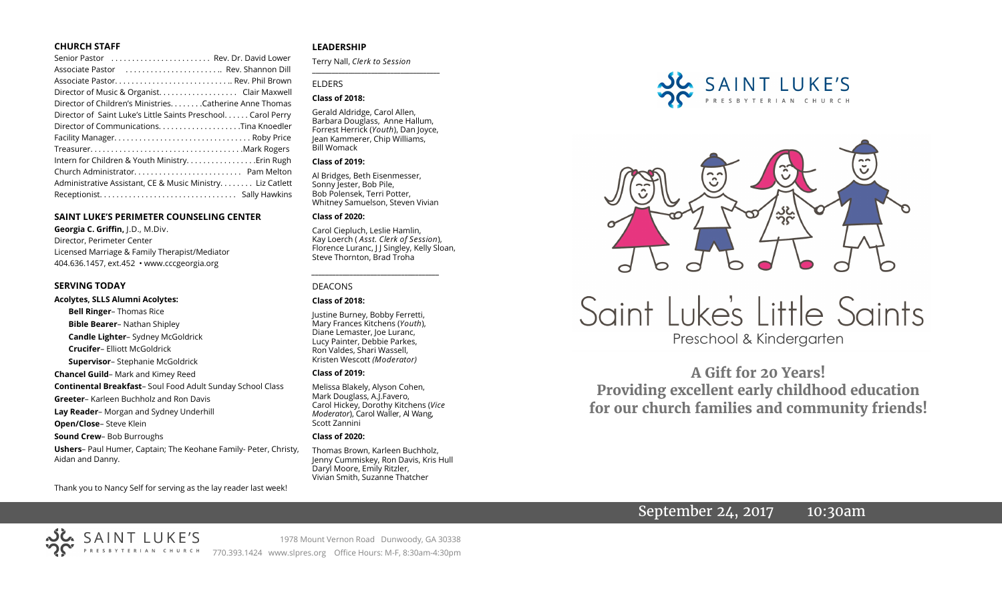#### **CHURCH STAFF**

| Senior Pastor  Rev. Dr. David Lower                           |
|---------------------------------------------------------------|
| Associate Pastor  Rev. Shannon Dill                           |
|                                                               |
| Director of Music & Organist. Clair Maxwell                   |
| Director of Children's Ministries. Catherine Anne Thomas      |
| Director of Saint Luke's Little Saints Preschool. Carol Perry |
|                                                               |
|                                                               |
|                                                               |
| Intern for Children & Youth Ministry Erin Rugh                |
|                                                               |
| Administrative Assistant, CE & Music Ministry Liz Catlett     |
|                                                               |

#### **SAINT LUKE'S PERIMETER COUNSELING CENTER**

**Georgia C. Griffin,** J.D., M.Div. Director, Perimeter Center Licensed Marriage & Family Therapist/Mediator 404.636.1457, ext.452 • www.cccgeorgia.org

#### **SERVING TODAY**

#### **Acolytes, SLLS Alumni Acolytes:**

**Bell Ringer**– Thomas Rice **Bible Bearer**– Nathan Shipley **Candle Lighter**– Sydney McGoldrick **Crucifer**– Elliott McGoldrick **Supervisor**– Stephanie McGoldrick **Chancel Guild**– Mark and Kimey Reed **Continental Breakfast**– Soul Food Adult Sunday School Class **Greeter**– Karleen Buchholz and Ron Davis **Lay Reader**– Morgan and Sydney Underhill **Open/Close**– Steve Klein **Sound Crew**– Bob Burroughs **Ushers**– Paul Humer, Captain; The Keohane Family- Peter, Christy, Aidan and Danny.

Thank you to Nancy Self for serving as the lay reader last week!

#### **LEADERSHIP**

Terry Nall, *Clerk to Session* 

# ELDERS

#### **Class of 2018:**

Gerald Aldridge, Carol Allen, Barbara Douglass, Anne Hallum, Forrest Herrick (*Youth*), Dan Joyce, Jean Kammerer, Chip Williams, Bill Womack

**\_\_\_\_\_\_\_\_\_\_\_\_\_\_\_\_\_\_\_\_\_\_\_\_\_\_\_\_\_\_\_\_\_\_\_\_\_\_\_**

#### **Class of 2019:**

Al Bridges, Beth Eisenmesser, Sonny Jester, Bob Pile, Bob Polensek, Terri Potter, Whitney Samuelson, Steven Vivian

#### **Class of 2020:**

Carol Ciepluch, Leslie Hamlin, Kay Loerch ( *Asst. Clerk of Session*), Florence Luranc, J J Singley, Kelly Sloan, Steve Thornton, Brad Troha

*\_\_\_\_\_\_\_\_\_\_\_\_\_\_\_\_\_\_\_\_\_\_\_\_\_\_\_\_\_\_\_\_\_\_\_\_\_*

#### DEACONS

#### **Class of 2018:**

Justine Burney, Bobby Ferretti, Mary Frances Kitchens (*Youth*), Diane Lemaster, Joe Luranc, Lucy Painter, Debbie Parkes, Ron Valdes, Shari Wassell, Kristen Wescott *(Moderator)*

#### **Class of 2019:**

Melissa Blakely, Alyson Cohen, Mark Douglass, A.J.Favero, Carol Hickey, Dorothy Kitchens (*Vice Moderator*), Carol Waller, Al Wang, Scott Zannini

#### **Class of 2020:**

Thomas Brown, Karleen Buchholz, Jenny Cummiskey, Ron Davis, Kris Hull Daryl Moore, Emily Ritzler, Vivian Smith, Suzanne Thatcher

**SAINT LUKE'S** PRESBYTERIAN CHURCH



# Saint Luke's Little Saints Preschool & Kindergarten

**A Gift for 20 Years! Providing excellent early childhood education for our church families and community friends!**

September 24, 2017 10:30am

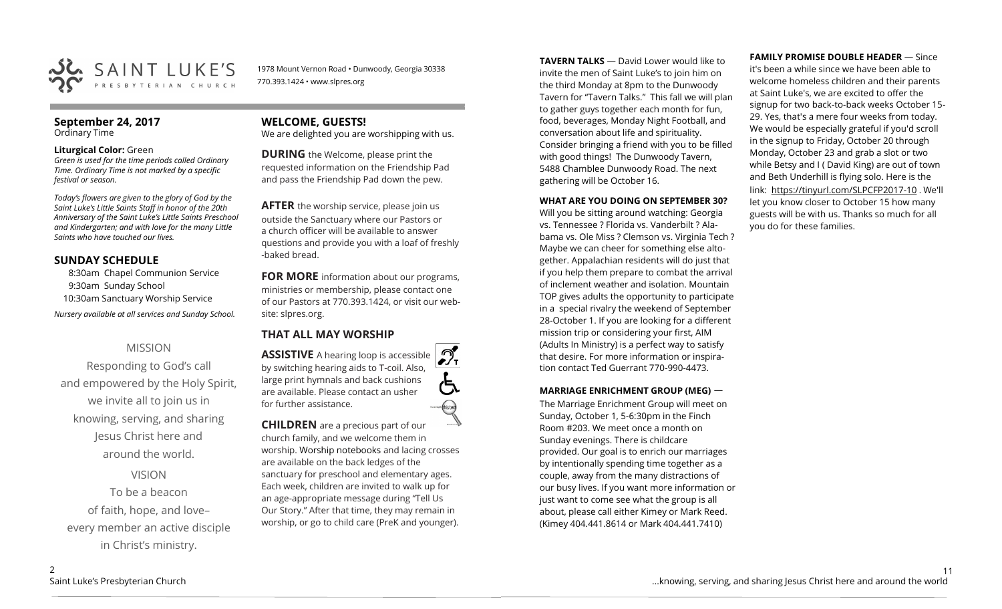

1978 Mount Vernon Road • Dunwoody, Georgia 30338 770.393.1424 • www.slpres.org

#### **September 24, 2017**  Ordinary Time

#### **Liturgical Color:** Green

*Green is used for the time periods called Ordinary Time. Ordinary Time is not marked by a specific festival or season.* 

*Today's flowers are given to the glory of God by the Saint Luke's Little Saints Staff in honor of the 20th Anniversary of the Saint Luke's Little Saints Preschool and Kindergarten; and with love for the many Little Saints who have touched our lives.* 

#### **SUNDAY SCHEDULE**

8:30am Chapel Communion Service 9:30am Sunday School 10:30am Sanctuary Worship Service *Nursery available at all services and Sunday School.* 

#### MISSION

Responding to God's call and empowered by the Holy Spirit, we invite all to join us in knowing, serving, and sharing Jesus Christ here and around the world.

VISION

To be a beacon of faith, hope, and love– every member an active disciple in Christ's ministry.

### **WELCOME, GUESTS!**

We are delighted you are worshipping with us.

**DURING** the Welcome, please print the requested information on the Friendship Pad and pass the Friendship Pad down the pew.

**AFTER** the worship service, please join us outside the Sanctuary where our Pastors or a church officer will be available to answer questions and provide you with a loaf of freshly -baked bread.

**FOR MORE** information about our programs, ministries or membership, please contact one of our Pastors at 770.393.1424, or visit our website: slpres.org.

### **THAT ALL MAY WORSHIP**

 $\mathcal{D}_{\mathbf{r}}$ **ASSISTIVE** A hearing loop is accessible by switching hearing aids to T-coil. Also, large print hymnals and back cushions are available. Please contact an usher for further assistance. thisted

**CHILDREN** are a precious part of our church family, and we welcome them in worship. Worship notebooks and lacing crosses are available on the back ledges of the sanctuary for preschool and elementary ages. Each week, children are invited to walk up for an age-appropriate message during "Tell Us Our Story." After that time, they may remain in worship, or go to child care (PreK and younger).

**TAVERN TALKS** — David Lower would like to invite the men of Saint Luke's to join him on the third Monday at 8pm to the Dunwoody Tavern for "Tavern Talks." This fall we will plan to gather guys together each month for fun, food, beverages, Monday Night Football, and conversation about life and spirituality. Consider bringing a friend with you to be filled with good things! The Dunwoody Tavern, 5488 Chamblee Dunwoody Road. The next gathering will be October 16.

#### **WHAT ARE YOU DOING ON SEPTEMBER 30?**

Will you be sitting around watching: Georgia vs. Tennessee ? Florida vs. Vanderbilt ? Alabama vs. Ole Miss ? Clemson vs. Virginia Tech ? Maybe we can cheer for something else altogether. Appalachian residents will do just that if you help them prepare to combat the arrival of inclement weather and isolation. Mountain TOP gives adults the opportunity to participate in a special rivalry the weekend of September 28-October 1. If you are looking for a different mission trip or considering your first, AIM (Adults In Ministry) is a perfect way to satisfy that desire. For more information or inspiration contact Ted Guerrant 770-990-4473.

#### **MARRIAGE ENRICHMENT GROUP (MEG)** —

The Marriage Enrichment Group will meet on Sunday, October 1, 5-6:30pm in the Finch Room #203. We meet once a month on Sunday evenings. There is childcare provided. Our goal is to enrich our marriages by intentionally spending time together as a couple, away from the many distractions of our busy lives. If you want more information or just want to come see what the group is all about, please call either Kimey or Mark Reed. (Kimey 404.441.8614 or Mark 404.441.7410)

#### **FAMILY PROMISE DOUBLE HEADER** — Since

it's been a while since we have been able to welcome homeless children and their parents at Saint Luke's, we are excited to offer the signup for two back-to-back weeks October 15- 29. Yes, that's a mere four weeks from today. We would be especially grateful if you'd scroll in the signup to Friday, October 20 through Monday, October 23 and grab a slot or two while Betsy and I ( David King) are out of town and Beth Underhill is flying solo. Here is the link: [https://tinyurl.com/SLPCFP2017](https://tinyurl.com/SLPCFP2017-10)-10 . We'll let you know closer to October 15 how many guests will be with us. Thanks so much for all you do for these families.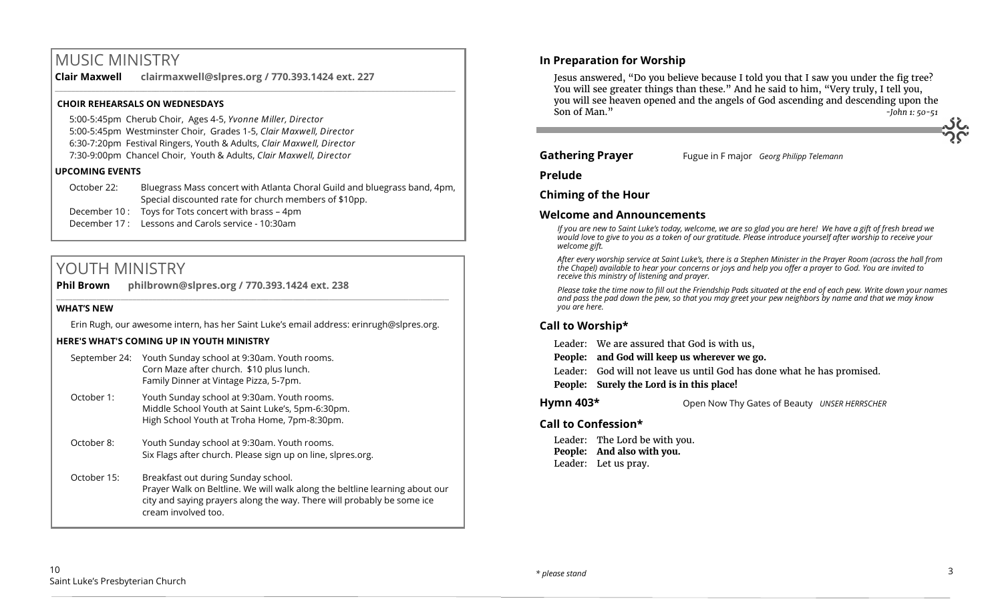# MUSIC MINISTRY

**Clair Maxwell clairmaxwell@slpres.org / 770.393.1424 ext. 227** 

#### **CHOIR REHEARSALS ON WEDNESDAYS**

5:00-5:45pm Cherub Choir, Ages 4-5, *Yvonne Miller, Director*  5:00-5:45pm Westminster Choir, Grades 1-5, *Clair Maxwell, Director*  6:30-7:20pm Festival Ringers, Youth & Adults, *Clair Maxwell, Director*  7:30-9:00pm Chancel Choir, Youth & Adults, *Clair Maxwell, Director* 

#### **UPCOMING EVENTS**

October 22: Bluegrass Mass concert with Atlanta Choral Guild and bluegrass band, 4pm, Special discounted rate for church members of \$10pp. December 10 : Toys for Tots concert with brass – 4pm December 17 : Lessons and Carols service - 10:30am

\_\_\_\_\_\_\_\_\_\_\_\_\_\_\_\_\_\_\_\_\_\_\_\_\_\_\_\_\_\_\_\_\_\_\_\_\_\_\_\_\_\_\_\_\_\_\_\_\_\_\_\_\_\_\_\_\_\_\_\_\_\_\_\_\_\_\_\_\_\_\_\_\_\_\_\_\_\_\_\_\_\_\_\_\_\_\_\_\_\_\_\_\_\_\_\_\_\_\_\_

# YOUTH MINISTRY

**Phil Brown philbrown@slpres.org / 770.393.1424 ext. 238**   $\_$  ,  $\_$  ,  $\_$  ,  $\_$  ,  $\_$  ,  $\_$  ,  $\_$  ,  $\_$  ,  $\_$  ,  $\_$  ,  $\_$  ,  $\_$  ,  $\_$  ,  $\_$  ,  $\_$  ,  $\_$  ,  $\_$  ,  $\_$  ,  $\_$  ,  $\_$ 

#### **WHAT'S NEW**

Erin Rugh, our awesome intern, has her Saint Luke's email address: erinrugh@slpres.org.

#### **HERE'S WHAT'S COMING UP IN YOUTH MINISTRY**

| September 24: | Youth Sunday school at 9:30am. Youth rooms.<br>Corn Maze after church. \$10 plus lunch.<br>Family Dinner at Vintage Pizza, 5-7pm.                                                                                   |
|---------------|---------------------------------------------------------------------------------------------------------------------------------------------------------------------------------------------------------------------|
| October 1:    | Youth Sunday school at 9:30am. Youth rooms.<br>Middle School Youth at Saint Luke's, 5pm-6:30pm.<br>High School Youth at Troha Home, 7pm-8:30pm.                                                                     |
| October 8:    | Youth Sunday school at 9:30am. Youth rooms.<br>Six Flags after church. Please sign up on line, slpres.org.                                                                                                          |
| October 15:   | Breakfast out during Sunday school.<br>Prayer Walk on Beltline. We will walk along the beltline learning about our<br>city and saying prayers along the way. There will probably be some ice<br>cream involved too. |

### **In Preparation for Worship**

Jesus answered, "Do you believe because I told you that I saw you under the fig tree? You will see greater things than these." And he said to him, "Very truly, I tell you, you will see heaven opened and the angels of God ascending and descending upon the Son of Man." *-John 1: 50-51*

**Gathering Prayer** Fugue in F major *Georg Philipp Telemann* 

**Prelude**

**Chiming of the Hour**

#### **Welcome and Announcements**

*If you are new to Saint Luke's today, welcome, we are so glad you are here! We have a gift of fresh bread we would love to give to you as a token of our gratitude. Please introduce yourself after worship to receive your welcome gift.*

*After every worship service at Saint Luke's, there is a Stephen Minister in the Prayer Room (across the hall from the Chapel) available to hear your concerns or joys and help you offer a prayer to God. You are invited to receive this ministry of listening and prayer.*

*Please take the time now to fill out the Friendship Pads situated at the end of each pew. Write down your names and pass the pad down the pew, so that you may greet your pew neighbors by name and that we may know you are here.*

### **Call to Worship\***

Leader: We are assured that God is with us,

**People: and God will keep us wherever we go.**

Leader: God will not leave us until God has done what he has promised.

**People: Surely the Lord is in this place!**

**Hymn 403\*** Open Now Thy Gates of Beauty *UNSER HERRSCHER* 

### **Call to Confession\***

Leader: The Lord be with you. **People: And also with you.** Leader: Let us pray.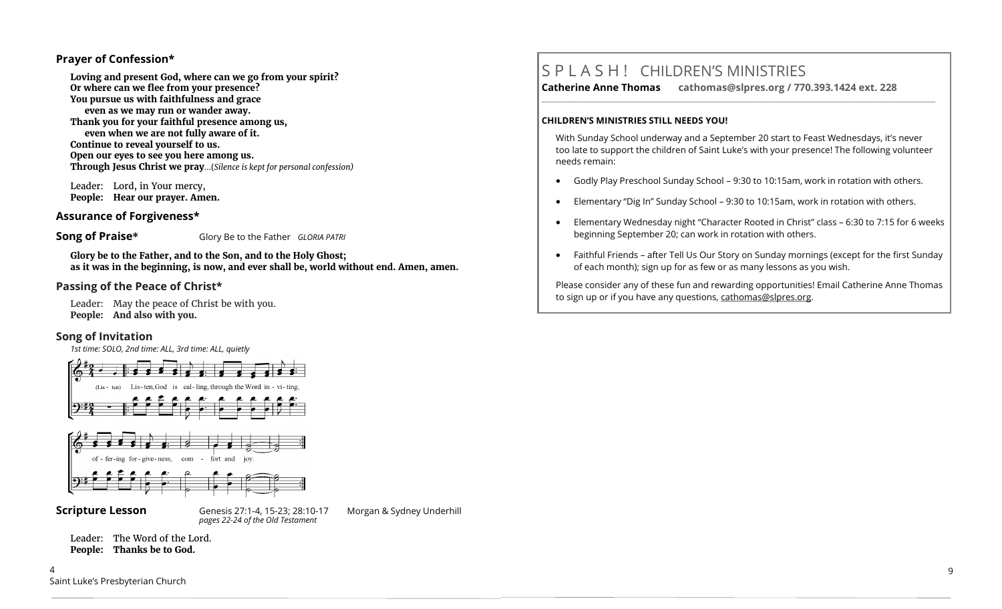#### **Prayer of Confession\***

**Loving and present God, where can we go from your spirit? Or where can we flee from your presence? You pursue us with faithfulness and grace even as we may run or wander away. Thank you for your faithful presence among us, even when we are not fully aware of it. Continue to reveal yourself to us. Open our eyes to see you here among us. Through Jesus Christ we pray**...(*Silence is kept for personal confession)* 

Leader: Lord, in Your mercy, **People: Hear our prayer. Amen.**

#### **Assurance of Forgiveness\***

**Song of Praise\*** Glory Be to the Father *GLORIA PATRI*

**Glory be to the Father, and to the Son, and to the Holy Ghost; as it was in the beginning, is now, and ever shall be, world without end. Amen, amen.**

### **Passing of the Peace of Christ\***

Leader: May the peace of Christ be with you. **People: And also with you.**

#### **Song of Invitation**

*1st time: SOLO, 2nd time: ALL, 3rd time: ALL, quietly*





**Scripture Lesson** Genesis 27:1-4, 15-23; 28:10-17 Morgan & Sydney Underhill *pages 22-24 of the Old Testament* 

Leader: The Word of the Lord. **People: Thanks be to God.**

# S P L A S H ! CHILDREN'S MINISTRIES

**Catherine Anne Thomas cathomas@slpres.org / 770.393.1424 ext. 228 \_\_\_\_\_\_\_\_\_\_\_\_\_\_\_\_\_\_\_\_\_\_\_\_\_\_\_\_\_\_\_\_\_\_\_\_\_\_\_\_\_\_\_\_\_\_\_\_\_\_\_\_\_\_\_\_\_\_\_\_\_\_\_\_\_\_\_\_\_\_\_\_\_\_\_\_\_\_\_\_\_\_\_\_\_\_\_\_\_\_\_\_\_\_\_\_\_\_\_\_\_\_\_\_\_\_\_** 

#### **CHILDREN'S MINISTRIES STILL NEEDS YOU!**

With Sunday School underway and a September 20 start to Feast Wednesdays, it's never too late to support the children of Saint Luke's with your presence! The following volunteer needs remain:

- Godly Play Preschool Sunday School 9:30 to 10:15am, work in rotation with others.
- Elementary "Dig In" Sunday School 9:30 to 10:15am, work in rotation with others.
- Elementary Wednesday night "Character Rooted in Christ" class 6:30 to 7:15 for 6 weeks beginning September 20; can work in rotation with others.
- Faithful Friends after Tell Us Our Story on Sunday mornings (except for the first Sunday of each month); sign up for as few or as many lessons as you wish.

Please consider any of these fun and rewarding opportunities! Email Catherine Anne Thomas to sign up or if you have any questions, cathomas@slpres.org.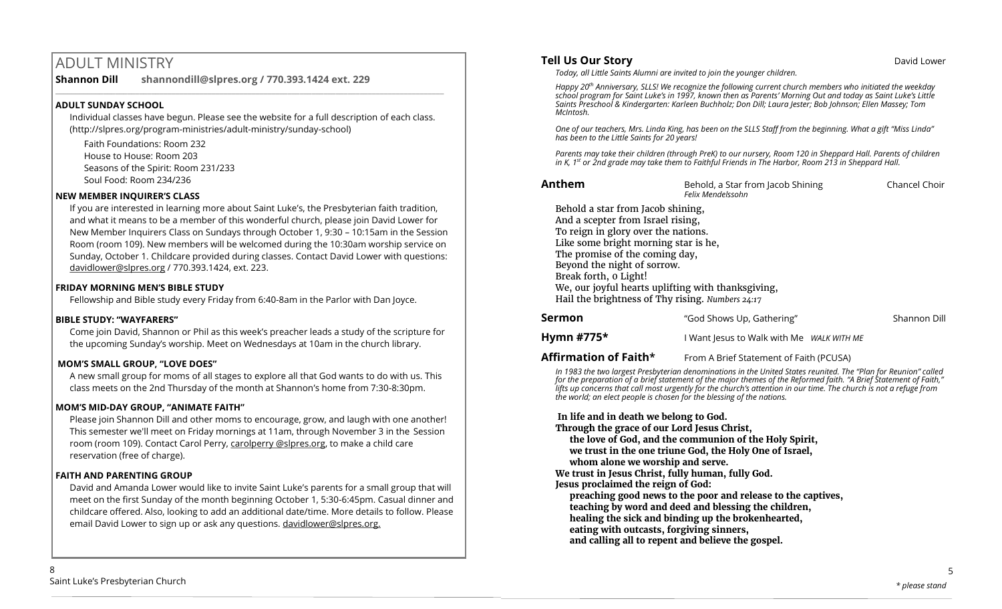# ADULT MINISTRY

**Shannon Dill shannondill@slpres.org / 770.393.1424 ext. 229** 

#### **ADULT SUNDAY SCHOOL**

Individual classes have begun. Please see the website for a full description of each class. (http://slpres.org/program-ministries/adult-ministry/sunday-school)

 $\_$  ,  $\_$  ,  $\_$  ,  $\_$  ,  $\_$  ,  $\_$  ,  $\_$  ,  $\_$  ,  $\_$  ,  $\_$  ,  $\_$  ,  $\_$  ,  $\_$  ,  $\_$  ,  $\_$  ,  $\_$  ,  $\_$  ,  $\_$  ,  $\_$ 

Faith Foundations: Room 232 House to House: Room 203 Seasons of the Spirit: Room 231/233 Soul Food: Room 234/236

#### **NEW MEMBER INQUIRER'S CLASS**

If you are interested in learning more about Saint Luke's, the Presbyterian faith tradition, and what it means to be a member of this wonderful church, please join David Lower for New Member Inquirers Class on Sundays through October 1, 9:30 – 10:15am in the Session Room (room 109). New members will be welcomed during the 10:30am worship service on Sunday, October 1. Childcare provided during classes. Contact David Lower with questions: [davidlower@slpres.org](mailto:davidlower@slpres.org) / 770.393.1424, ext. 223.

#### **FRIDAY MORNING MEN'S BIBLE STUDY**

Fellowship and Bible study every Friday from 6:40-8am in the Parlor with Dan Joyce.

#### **BIBLE STUDY: "WAYFARERS"**

Come join David, Shannon or Phil as this week's preacher leads a study of the scripture for the upcoming Sunday's worship. Meet on Wednesdays at 10am in the church library.

#### **MOM'S SMALL GROUP, "LOVE DOES"**

A new small group for moms of all stages to explore all that God wants to do with us. This class meets on the 2nd Thursday of the month at Shannon's home from 7:30-8:30pm.

#### **MOM'S MID-DAY GROUP, "ANIMATE FAITH"**

Please join Shannon Dill and other moms to encourage, grow, and laugh with one another! This semester we'll meet on Friday mornings at 11am, through November 3 in the Session room (room 109). Contact Carol Perry, carolperry @slpres.org, to make a child care reservation (free of charge).

#### **FAITH AND PARENTING GROUP**

David and Amanda Lower would like to invite Saint Luke's parents for a small group that will meet on the first Sunday of the month beginning October 1, 5:30-6:45pm. Casual dinner and childcare offered. Also, looking to add an additional date/time. More details to follow. Please email David Lower to sign up or ask any questions. davidlower@slpres.org.

#### **Tell Us Our Story Community Community Community Community Community Community Community Community Community Community Community Community Community Community Community Community Community Community Community Community Com**

*Today, all Little Saints Alumni are invited to join the younger children.*

*Happy 20th Anniversary, SLLS! We recognize the following current church members who initiated the weekday school program for Saint Luke's in 1997, known then as Parents' Morning Out and today as Saint Luke's Little Saints Preschool & Kindergarten: Karleen Buchholz; Don Dill; Laura Jester; Bob Johnson; Ellen Massey; Tom McIntosh.*

*One of our teachers, Mrs. Linda King, has been on the SLLS Staff from the beginning. What a gift "Miss Linda" has been to the Little Saints for 20 years!*

*Parents may take their children (through PreK) to our nursery, Room 120 in Sheppard Hall. Parents of children in K, 1st or 2nd grade may take them to Faithful Friends in The Harbor, Room 213 in Sheppard Hall.*

**Anthem Behold, a Star from Jacob Shining Chancel Choir** *Chancel Choir Felix Mendelssohn*

Behold a star from Jacob shining, And a scepter from Israel rising, To reign in glory over the nations. Like some bright morning star is he, The promise of the coming day, Beyond the night of sorrow. Break forth, 0 Light! We, our joyful hearts uplifting with thanksgiving, Hail the brightness of Thy rising. *Numbers 24:17*

| Sermon     | "God Shows Up, Gathering"                 | Shannon Dill |
|------------|-------------------------------------------|--------------|
| Hymn #775* | I Want Jesus to Walk with Me WALK WITH ME |              |

**Affirmation of Faith\*** From A Brief Statement of Faith (PCUSA)

*In 1983 the two largest Presbyterian denominations in the United States reunited. The "Plan for Reunion" called for the preparation of a brief statement of the major themes of the Reformed faith. "A Brief Statement of Faith," lifts up concerns that call most urgently for the church's attention in our time. The church is not a refuge from the world; an elect people is chosen for the blessing of the nations.*

**In life and in death we belong to God.**

- **Through the grace of our Lord Jesus Christ,**
- **the love of God, and the communion of the Holy Spirit, we trust in the one triune God, the Holy One of Israel, whom alone we worship and serve.**

**We trust in Jesus Christ, fully human, fully God.**

**Jesus proclaimed the reign of God:** 

**preaching good news to the poor and release to the captives, teaching by word and deed and blessing the children, healing the sick and binding up the brokenhearted, eating with outcasts, forgiving sinners, and calling all to repent and believe the gospel.**